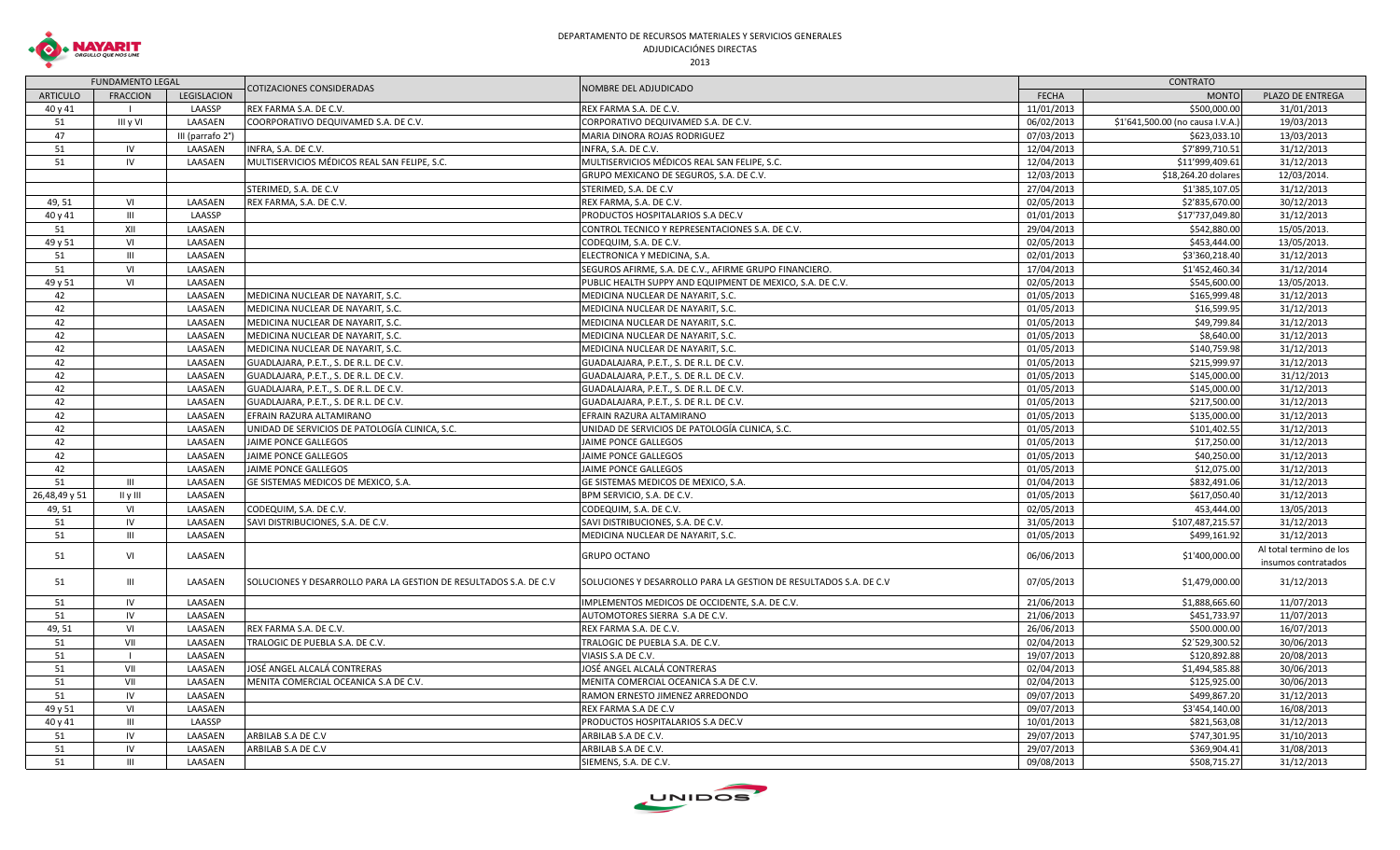

## DEPARTAMENTO DE RECURSOS MATERIALES Y SERVICIOS GENERALES ADJUDICACIÓNES DIRECTAS

| COTIZACIONES CONSIDERADAS<br>NOMBRE DEL ADJUDICADO<br><b>ARTICULO</b><br><b>FRACCION</b><br><b>LEGISLACION</b><br><b>FECHA</b><br><b>MONTO</b><br>PLAZO DE ENTREGA<br>40 y 41<br>LAASSP<br>REX FARMA S.A. DE C.V.<br>REX FARMA S.A. DE C.V.<br>11/01/2013<br>\$500,000.00<br>51<br>III y VI<br>LAASAEN<br>COORPORATIVO DEQUIVAMED S.A. DE C.V.<br>CORPORATIVO DEQUIVAMED S.A. DE C.V.<br>06/02/2013<br>\$1'641,500.00 (no causa I.V.A.<br>47<br>MARIA DINORA ROJAS RODRIGUEZ<br>07/03/2013<br>\$623,033.10<br>III (parrafo 2°)<br>51<br>IV<br>LAASAEN<br>INFRA, S.A. DE C.V.<br>12/04/2013<br>\$7'899,710.51<br>INFRA, S.A. DE C.V.<br>MULTISERVICIOS MÉDICOS REAL SAN FELIPE, S.C.<br>MULTISERVICIOS MÉDICOS REAL SAN FELIPE, S.C.<br>12/04/2013<br>\$11'999,409.61<br>51<br>IV<br>LAASAEN<br>12/03/2013<br>GRUPO MEXICANO DE SEGUROS, S.A. DE C.V.<br>\$18,264.20 dolares<br>STERIMED, S.A. DE C.V<br>27/04/2013<br>\$1'385,107.05<br>STERIMED, S.A. DE C.V<br>REX FARMA, S.A. DE C.V.<br>02/05/2013<br>\$2'835,670.00<br>49, 51<br>VI<br>LAASAEN<br>REX FARMA, S.A. DE C.V.<br>$\mathbf{III}$<br>LAASSP<br>PRODUCTOS HOSPITALARIOS S.A DEC.V<br>01/01/2013<br>\$17'737,049.80<br>40 y 41<br>51<br>XII<br>LAASAEN<br>CONTROL TECNICO Y REPRESENTACIONES S.A. DE C.V.<br>29/04/2013<br>\$542,880.00<br>\$453,444.00<br>VI<br>LAASAEN<br>CODEQUIM, S.A. DE C.V.<br>02/05/2013<br>49 y 51<br>\$3'360,218.40<br>51<br>$\mathbf{III}$<br>LAASAEN<br>ELECTRONICA Y MEDICINA, S.A.<br>02/01/2013<br>\$1'452,460.34<br>51<br>VI<br>LAASAEN<br>SEGUROS AFIRME, S.A. DE C.V., AFIRME GRUPO FINANCIERO.<br>17/04/2013<br>49 y 51<br>VI<br>LAASAEN<br>PUBLIC HEALTH SUPPY AND EQUIPMENT DE MEXICO, S.A. DE C.V.<br>02/05/2013<br>\$545,600.00<br>42<br>LAASAEN<br>MEDICINA NUCLEAR DE NAYARIT, S.C.<br>01/05/2013<br>\$165,999.48<br>MEDICINA NUCLEAR DE NAYARIT, S.C.<br>42<br>\$16,599.95<br>LAASAEN<br>MEDICINA NUCLEAR DE NAYARIT, S.C.<br>MEDICINA NUCLEAR DE NAYARIT, S.C.<br>01/05/2013<br>42<br>MEDICINA NUCLEAR DE NAYARIT, S.C.<br>01/05/2013<br>\$49,799.84<br>LAASAEN<br>MEDICINA NUCLEAR DE NAYARIT, S.C.<br>42<br>LAASAEN<br>MEDICINA NUCLEAR DE NAYARIT, S.C.<br>01/05/2013<br>\$8,640.00<br>MEDICINA NUCLEAR DE NAYARIT, S.C.<br>42<br>LAASAEN<br>MEDICINA NUCLEAR DE NAYARIT, S.C.<br>MEDICINA NUCLEAR DE NAYARIT, S.C.<br>01/05/2013<br>\$140,759.98<br>42<br>\$215,999.97<br>LAASAEN<br>GUADLAJARA, P.E.T., S. DE R.L. DE C.V.<br>GUADALAJARA, P.E.T., S. DE R.L. DE C.V.<br>01/05/2013<br>42<br>LAASAEN<br>GUADALAJARA, P.E.T., S. DE R.L. DE C.V.<br>01/05/2013<br>\$145,000.00<br>GUADLAJARA, P.E.T., S. DE R.L. DE C.V.<br>42<br>LAASAEN<br>GUADLAJARA, P.E.T., S. DE R.L. DE C.V.<br>GUADALAJARA, P.E.T., S. DE R.L. DE C.V.<br>01/05/2013<br>\$145,000.00<br>\$217,500.00<br>42<br>LAASAEN<br>GUADLAJARA, P.E.T., S. DE R.L. DE C.V.<br>GUADALAJARA, P.E.T., S. DE R.L. DE C.V.<br>01/05/2013<br>42<br>\$135,000.00<br>LAASAEN<br>EFRAIN RAZURA ALTAMIRANO<br>EFRAIN RAZURA ALTAMIRANO<br>01/05/2013<br>42<br>LAASAEN<br>UNIDAD DE SERVICIOS DE PATOLOGÍA CLINICA, S.C.<br>UNIDAD DE SERVICIOS DE PATOLOGÍA CLINICA, S.C.<br>01/05/2013<br>\$101,402.55<br>31/12/2013<br>\$17,250.00<br>31/12/2013<br>42<br>LAASAEN<br>JAIME PONCE GALLEGOS<br><b>JAIME PONCE GALLEGOS</b><br>01/05/2013<br>42<br>01/05/2013<br>\$40,250.00<br>LAASAEN<br>JAIME PONCE GALLEGOS<br>JAIME PONCE GALLEGOS<br>31/12/2013<br>42<br>LAASAEN<br>01/05/2013<br>\$12,075.00<br>JAIME PONCE GALLEGOS<br>JAIME PONCE GALLEGOS<br>51<br>LAASAEN<br>GE SISTEMAS MEDICOS DE MEXICO, S.A.<br>GE SISTEMAS MEDICOS DE MEXICO, S.A.<br>01/04/2013<br>\$832,491.06<br>31/12/2013<br>$\mathbf{H}$<br>26,48,49 y 51<br>$II \vee III$<br>LAASAEN<br>BPM SERVICIO, S.A. DE C.V.<br>01/05/2013<br>\$617,050.40<br>31/12/2013<br>02/05/2013<br>453,444.00<br>49,51<br>VI<br>LAASAEN<br>CODEQUIM, S.A. DE C.V.<br>CODEQUIM, S.A. DE C.V.<br>\$107,487,215.57<br>51<br>IV<br>LAASAEN<br>SAVI DISTRIBUCIONES, S.A. DE C.V.<br>SAVI DISTRIBUCIONES, S.A. DE C.V.<br>31/05/2013<br>MEDICINA NUCLEAR DE NAYARIT, S.C.<br>01/05/2013<br>\$499,161.92<br>51<br>$\mathbf{III}$<br>LAASAEN |                                                |
|--------------------------------------------------------------------------------------------------------------------------------------------------------------------------------------------------------------------------------------------------------------------------------------------------------------------------------------------------------------------------------------------------------------------------------------------------------------------------------------------------------------------------------------------------------------------------------------------------------------------------------------------------------------------------------------------------------------------------------------------------------------------------------------------------------------------------------------------------------------------------------------------------------------------------------------------------------------------------------------------------------------------------------------------------------------------------------------------------------------------------------------------------------------------------------------------------------------------------------------------------------------------------------------------------------------------------------------------------------------------------------------------------------------------------------------------------------------------------------------------------------------------------------------------------------------------------------------------------------------------------------------------------------------------------------------------------------------------------------------------------------------------------------------------------------------------------------------------------------------------------------------------------------------------------------------------------------------------------------------------------------------------------------------------------------------------------------------------------------------------------------------------------------------------------------------------------------------------------------------------------------------------------------------------------------------------------------------------------------------------------------------------------------------------------------------------------------------------------------------------------------------------------------------------------------------------------------------------------------------------------------------------------------------------------------------------------------------------------------------------------------------------------------------------------------------------------------------------------------------------------------------------------------------------------------------------------------------------------------------------------------------------------------------------------------------------------------------------------------------------------------------------------------------------------------------------------------------------------------------------------------------------------------------------------------------------------------------------------------------------------------------------------------------------------------------------------------------------------------------------------------------------------------------------------------------------------------------------------------------------------------------------------------------------------------------------------------------------------------------------------------------------------------------------------------------------------------------------------------------------------------------------------------------------------------------------------------------------------------------------------------------------------------------------------------------------------------------------------------------------------------------------------------|------------------------------------------------|
|                                                                                                                                                                                                                                                                                                                                                                                                                                                                                                                                                                                                                                                                                                                                                                                                                                                                                                                                                                                                                                                                                                                                                                                                                                                                                                                                                                                                                                                                                                                                                                                                                                                                                                                                                                                                                                                                                                                                                                                                                                                                                                                                                                                                                                                                                                                                                                                                                                                                                                                                                                                                                                                                                                                                                                                                                                                                                                                                                                                                                                                                                                                                                                                                                                                                                                                                                                                                                                                                                                                                                                                                                                                                                                                                                                                                                                                                                                                                                                                                                                                                                                                                                        |                                                |
|                                                                                                                                                                                                                                                                                                                                                                                                                                                                                                                                                                                                                                                                                                                                                                                                                                                                                                                                                                                                                                                                                                                                                                                                                                                                                                                                                                                                                                                                                                                                                                                                                                                                                                                                                                                                                                                                                                                                                                                                                                                                                                                                                                                                                                                                                                                                                                                                                                                                                                                                                                                                                                                                                                                                                                                                                                                                                                                                                                                                                                                                                                                                                                                                                                                                                                                                                                                                                                                                                                                                                                                                                                                                                                                                                                                                                                                                                                                                                                                                                                                                                                                                                        | 31/01/2013                                     |
|                                                                                                                                                                                                                                                                                                                                                                                                                                                                                                                                                                                                                                                                                                                                                                                                                                                                                                                                                                                                                                                                                                                                                                                                                                                                                                                                                                                                                                                                                                                                                                                                                                                                                                                                                                                                                                                                                                                                                                                                                                                                                                                                                                                                                                                                                                                                                                                                                                                                                                                                                                                                                                                                                                                                                                                                                                                                                                                                                                                                                                                                                                                                                                                                                                                                                                                                                                                                                                                                                                                                                                                                                                                                                                                                                                                                                                                                                                                                                                                                                                                                                                                                                        | 19/03/2013                                     |
|                                                                                                                                                                                                                                                                                                                                                                                                                                                                                                                                                                                                                                                                                                                                                                                                                                                                                                                                                                                                                                                                                                                                                                                                                                                                                                                                                                                                                                                                                                                                                                                                                                                                                                                                                                                                                                                                                                                                                                                                                                                                                                                                                                                                                                                                                                                                                                                                                                                                                                                                                                                                                                                                                                                                                                                                                                                                                                                                                                                                                                                                                                                                                                                                                                                                                                                                                                                                                                                                                                                                                                                                                                                                                                                                                                                                                                                                                                                                                                                                                                                                                                                                                        | 13/03/2013                                     |
|                                                                                                                                                                                                                                                                                                                                                                                                                                                                                                                                                                                                                                                                                                                                                                                                                                                                                                                                                                                                                                                                                                                                                                                                                                                                                                                                                                                                                                                                                                                                                                                                                                                                                                                                                                                                                                                                                                                                                                                                                                                                                                                                                                                                                                                                                                                                                                                                                                                                                                                                                                                                                                                                                                                                                                                                                                                                                                                                                                                                                                                                                                                                                                                                                                                                                                                                                                                                                                                                                                                                                                                                                                                                                                                                                                                                                                                                                                                                                                                                                                                                                                                                                        | 31/12/2013                                     |
|                                                                                                                                                                                                                                                                                                                                                                                                                                                                                                                                                                                                                                                                                                                                                                                                                                                                                                                                                                                                                                                                                                                                                                                                                                                                                                                                                                                                                                                                                                                                                                                                                                                                                                                                                                                                                                                                                                                                                                                                                                                                                                                                                                                                                                                                                                                                                                                                                                                                                                                                                                                                                                                                                                                                                                                                                                                                                                                                                                                                                                                                                                                                                                                                                                                                                                                                                                                                                                                                                                                                                                                                                                                                                                                                                                                                                                                                                                                                                                                                                                                                                                                                                        | 31/12/2013                                     |
|                                                                                                                                                                                                                                                                                                                                                                                                                                                                                                                                                                                                                                                                                                                                                                                                                                                                                                                                                                                                                                                                                                                                                                                                                                                                                                                                                                                                                                                                                                                                                                                                                                                                                                                                                                                                                                                                                                                                                                                                                                                                                                                                                                                                                                                                                                                                                                                                                                                                                                                                                                                                                                                                                                                                                                                                                                                                                                                                                                                                                                                                                                                                                                                                                                                                                                                                                                                                                                                                                                                                                                                                                                                                                                                                                                                                                                                                                                                                                                                                                                                                                                                                                        | 12/03/2014.                                    |
|                                                                                                                                                                                                                                                                                                                                                                                                                                                                                                                                                                                                                                                                                                                                                                                                                                                                                                                                                                                                                                                                                                                                                                                                                                                                                                                                                                                                                                                                                                                                                                                                                                                                                                                                                                                                                                                                                                                                                                                                                                                                                                                                                                                                                                                                                                                                                                                                                                                                                                                                                                                                                                                                                                                                                                                                                                                                                                                                                                                                                                                                                                                                                                                                                                                                                                                                                                                                                                                                                                                                                                                                                                                                                                                                                                                                                                                                                                                                                                                                                                                                                                                                                        | 31/12/2013                                     |
|                                                                                                                                                                                                                                                                                                                                                                                                                                                                                                                                                                                                                                                                                                                                                                                                                                                                                                                                                                                                                                                                                                                                                                                                                                                                                                                                                                                                                                                                                                                                                                                                                                                                                                                                                                                                                                                                                                                                                                                                                                                                                                                                                                                                                                                                                                                                                                                                                                                                                                                                                                                                                                                                                                                                                                                                                                                                                                                                                                                                                                                                                                                                                                                                                                                                                                                                                                                                                                                                                                                                                                                                                                                                                                                                                                                                                                                                                                                                                                                                                                                                                                                                                        | 30/12/2013                                     |
|                                                                                                                                                                                                                                                                                                                                                                                                                                                                                                                                                                                                                                                                                                                                                                                                                                                                                                                                                                                                                                                                                                                                                                                                                                                                                                                                                                                                                                                                                                                                                                                                                                                                                                                                                                                                                                                                                                                                                                                                                                                                                                                                                                                                                                                                                                                                                                                                                                                                                                                                                                                                                                                                                                                                                                                                                                                                                                                                                                                                                                                                                                                                                                                                                                                                                                                                                                                                                                                                                                                                                                                                                                                                                                                                                                                                                                                                                                                                                                                                                                                                                                                                                        | 31/12/2013                                     |
|                                                                                                                                                                                                                                                                                                                                                                                                                                                                                                                                                                                                                                                                                                                                                                                                                                                                                                                                                                                                                                                                                                                                                                                                                                                                                                                                                                                                                                                                                                                                                                                                                                                                                                                                                                                                                                                                                                                                                                                                                                                                                                                                                                                                                                                                                                                                                                                                                                                                                                                                                                                                                                                                                                                                                                                                                                                                                                                                                                                                                                                                                                                                                                                                                                                                                                                                                                                                                                                                                                                                                                                                                                                                                                                                                                                                                                                                                                                                                                                                                                                                                                                                                        | 15/05/2013.                                    |
|                                                                                                                                                                                                                                                                                                                                                                                                                                                                                                                                                                                                                                                                                                                                                                                                                                                                                                                                                                                                                                                                                                                                                                                                                                                                                                                                                                                                                                                                                                                                                                                                                                                                                                                                                                                                                                                                                                                                                                                                                                                                                                                                                                                                                                                                                                                                                                                                                                                                                                                                                                                                                                                                                                                                                                                                                                                                                                                                                                                                                                                                                                                                                                                                                                                                                                                                                                                                                                                                                                                                                                                                                                                                                                                                                                                                                                                                                                                                                                                                                                                                                                                                                        | 13/05/2013.                                    |
|                                                                                                                                                                                                                                                                                                                                                                                                                                                                                                                                                                                                                                                                                                                                                                                                                                                                                                                                                                                                                                                                                                                                                                                                                                                                                                                                                                                                                                                                                                                                                                                                                                                                                                                                                                                                                                                                                                                                                                                                                                                                                                                                                                                                                                                                                                                                                                                                                                                                                                                                                                                                                                                                                                                                                                                                                                                                                                                                                                                                                                                                                                                                                                                                                                                                                                                                                                                                                                                                                                                                                                                                                                                                                                                                                                                                                                                                                                                                                                                                                                                                                                                                                        | 31/12/2013                                     |
|                                                                                                                                                                                                                                                                                                                                                                                                                                                                                                                                                                                                                                                                                                                                                                                                                                                                                                                                                                                                                                                                                                                                                                                                                                                                                                                                                                                                                                                                                                                                                                                                                                                                                                                                                                                                                                                                                                                                                                                                                                                                                                                                                                                                                                                                                                                                                                                                                                                                                                                                                                                                                                                                                                                                                                                                                                                                                                                                                                                                                                                                                                                                                                                                                                                                                                                                                                                                                                                                                                                                                                                                                                                                                                                                                                                                                                                                                                                                                                                                                                                                                                                                                        | 31/12/2014                                     |
|                                                                                                                                                                                                                                                                                                                                                                                                                                                                                                                                                                                                                                                                                                                                                                                                                                                                                                                                                                                                                                                                                                                                                                                                                                                                                                                                                                                                                                                                                                                                                                                                                                                                                                                                                                                                                                                                                                                                                                                                                                                                                                                                                                                                                                                                                                                                                                                                                                                                                                                                                                                                                                                                                                                                                                                                                                                                                                                                                                                                                                                                                                                                                                                                                                                                                                                                                                                                                                                                                                                                                                                                                                                                                                                                                                                                                                                                                                                                                                                                                                                                                                                                                        | 13/05/2013.                                    |
|                                                                                                                                                                                                                                                                                                                                                                                                                                                                                                                                                                                                                                                                                                                                                                                                                                                                                                                                                                                                                                                                                                                                                                                                                                                                                                                                                                                                                                                                                                                                                                                                                                                                                                                                                                                                                                                                                                                                                                                                                                                                                                                                                                                                                                                                                                                                                                                                                                                                                                                                                                                                                                                                                                                                                                                                                                                                                                                                                                                                                                                                                                                                                                                                                                                                                                                                                                                                                                                                                                                                                                                                                                                                                                                                                                                                                                                                                                                                                                                                                                                                                                                                                        | 31/12/2013                                     |
|                                                                                                                                                                                                                                                                                                                                                                                                                                                                                                                                                                                                                                                                                                                                                                                                                                                                                                                                                                                                                                                                                                                                                                                                                                                                                                                                                                                                                                                                                                                                                                                                                                                                                                                                                                                                                                                                                                                                                                                                                                                                                                                                                                                                                                                                                                                                                                                                                                                                                                                                                                                                                                                                                                                                                                                                                                                                                                                                                                                                                                                                                                                                                                                                                                                                                                                                                                                                                                                                                                                                                                                                                                                                                                                                                                                                                                                                                                                                                                                                                                                                                                                                                        | 31/12/2013                                     |
|                                                                                                                                                                                                                                                                                                                                                                                                                                                                                                                                                                                                                                                                                                                                                                                                                                                                                                                                                                                                                                                                                                                                                                                                                                                                                                                                                                                                                                                                                                                                                                                                                                                                                                                                                                                                                                                                                                                                                                                                                                                                                                                                                                                                                                                                                                                                                                                                                                                                                                                                                                                                                                                                                                                                                                                                                                                                                                                                                                                                                                                                                                                                                                                                                                                                                                                                                                                                                                                                                                                                                                                                                                                                                                                                                                                                                                                                                                                                                                                                                                                                                                                                                        | 31/12/2013                                     |
|                                                                                                                                                                                                                                                                                                                                                                                                                                                                                                                                                                                                                                                                                                                                                                                                                                                                                                                                                                                                                                                                                                                                                                                                                                                                                                                                                                                                                                                                                                                                                                                                                                                                                                                                                                                                                                                                                                                                                                                                                                                                                                                                                                                                                                                                                                                                                                                                                                                                                                                                                                                                                                                                                                                                                                                                                                                                                                                                                                                                                                                                                                                                                                                                                                                                                                                                                                                                                                                                                                                                                                                                                                                                                                                                                                                                                                                                                                                                                                                                                                                                                                                                                        | 31/12/2013                                     |
|                                                                                                                                                                                                                                                                                                                                                                                                                                                                                                                                                                                                                                                                                                                                                                                                                                                                                                                                                                                                                                                                                                                                                                                                                                                                                                                                                                                                                                                                                                                                                                                                                                                                                                                                                                                                                                                                                                                                                                                                                                                                                                                                                                                                                                                                                                                                                                                                                                                                                                                                                                                                                                                                                                                                                                                                                                                                                                                                                                                                                                                                                                                                                                                                                                                                                                                                                                                                                                                                                                                                                                                                                                                                                                                                                                                                                                                                                                                                                                                                                                                                                                                                                        | 31/12/2013                                     |
|                                                                                                                                                                                                                                                                                                                                                                                                                                                                                                                                                                                                                                                                                                                                                                                                                                                                                                                                                                                                                                                                                                                                                                                                                                                                                                                                                                                                                                                                                                                                                                                                                                                                                                                                                                                                                                                                                                                                                                                                                                                                                                                                                                                                                                                                                                                                                                                                                                                                                                                                                                                                                                                                                                                                                                                                                                                                                                                                                                                                                                                                                                                                                                                                                                                                                                                                                                                                                                                                                                                                                                                                                                                                                                                                                                                                                                                                                                                                                                                                                                                                                                                                                        | 31/12/2013                                     |
|                                                                                                                                                                                                                                                                                                                                                                                                                                                                                                                                                                                                                                                                                                                                                                                                                                                                                                                                                                                                                                                                                                                                                                                                                                                                                                                                                                                                                                                                                                                                                                                                                                                                                                                                                                                                                                                                                                                                                                                                                                                                                                                                                                                                                                                                                                                                                                                                                                                                                                                                                                                                                                                                                                                                                                                                                                                                                                                                                                                                                                                                                                                                                                                                                                                                                                                                                                                                                                                                                                                                                                                                                                                                                                                                                                                                                                                                                                                                                                                                                                                                                                                                                        | 31/12/2013                                     |
|                                                                                                                                                                                                                                                                                                                                                                                                                                                                                                                                                                                                                                                                                                                                                                                                                                                                                                                                                                                                                                                                                                                                                                                                                                                                                                                                                                                                                                                                                                                                                                                                                                                                                                                                                                                                                                                                                                                                                                                                                                                                                                                                                                                                                                                                                                                                                                                                                                                                                                                                                                                                                                                                                                                                                                                                                                                                                                                                                                                                                                                                                                                                                                                                                                                                                                                                                                                                                                                                                                                                                                                                                                                                                                                                                                                                                                                                                                                                                                                                                                                                                                                                                        | 31/12/2013                                     |
|                                                                                                                                                                                                                                                                                                                                                                                                                                                                                                                                                                                                                                                                                                                                                                                                                                                                                                                                                                                                                                                                                                                                                                                                                                                                                                                                                                                                                                                                                                                                                                                                                                                                                                                                                                                                                                                                                                                                                                                                                                                                                                                                                                                                                                                                                                                                                                                                                                                                                                                                                                                                                                                                                                                                                                                                                                                                                                                                                                                                                                                                                                                                                                                                                                                                                                                                                                                                                                                                                                                                                                                                                                                                                                                                                                                                                                                                                                                                                                                                                                                                                                                                                        | 31/12/2013                                     |
|                                                                                                                                                                                                                                                                                                                                                                                                                                                                                                                                                                                                                                                                                                                                                                                                                                                                                                                                                                                                                                                                                                                                                                                                                                                                                                                                                                                                                                                                                                                                                                                                                                                                                                                                                                                                                                                                                                                                                                                                                                                                                                                                                                                                                                                                                                                                                                                                                                                                                                                                                                                                                                                                                                                                                                                                                                                                                                                                                                                                                                                                                                                                                                                                                                                                                                                                                                                                                                                                                                                                                                                                                                                                                                                                                                                                                                                                                                                                                                                                                                                                                                                                                        | 31/12/2013                                     |
|                                                                                                                                                                                                                                                                                                                                                                                                                                                                                                                                                                                                                                                                                                                                                                                                                                                                                                                                                                                                                                                                                                                                                                                                                                                                                                                                                                                                                                                                                                                                                                                                                                                                                                                                                                                                                                                                                                                                                                                                                                                                                                                                                                                                                                                                                                                                                                                                                                                                                                                                                                                                                                                                                                                                                                                                                                                                                                                                                                                                                                                                                                                                                                                                                                                                                                                                                                                                                                                                                                                                                                                                                                                                                                                                                                                                                                                                                                                                                                                                                                                                                                                                                        |                                                |
|                                                                                                                                                                                                                                                                                                                                                                                                                                                                                                                                                                                                                                                                                                                                                                                                                                                                                                                                                                                                                                                                                                                                                                                                                                                                                                                                                                                                                                                                                                                                                                                                                                                                                                                                                                                                                                                                                                                                                                                                                                                                                                                                                                                                                                                                                                                                                                                                                                                                                                                                                                                                                                                                                                                                                                                                                                                                                                                                                                                                                                                                                                                                                                                                                                                                                                                                                                                                                                                                                                                                                                                                                                                                                                                                                                                                                                                                                                                                                                                                                                                                                                                                                        |                                                |
|                                                                                                                                                                                                                                                                                                                                                                                                                                                                                                                                                                                                                                                                                                                                                                                                                                                                                                                                                                                                                                                                                                                                                                                                                                                                                                                                                                                                                                                                                                                                                                                                                                                                                                                                                                                                                                                                                                                                                                                                                                                                                                                                                                                                                                                                                                                                                                                                                                                                                                                                                                                                                                                                                                                                                                                                                                                                                                                                                                                                                                                                                                                                                                                                                                                                                                                                                                                                                                                                                                                                                                                                                                                                                                                                                                                                                                                                                                                                                                                                                                                                                                                                                        |                                                |
|                                                                                                                                                                                                                                                                                                                                                                                                                                                                                                                                                                                                                                                                                                                                                                                                                                                                                                                                                                                                                                                                                                                                                                                                                                                                                                                                                                                                                                                                                                                                                                                                                                                                                                                                                                                                                                                                                                                                                                                                                                                                                                                                                                                                                                                                                                                                                                                                                                                                                                                                                                                                                                                                                                                                                                                                                                                                                                                                                                                                                                                                                                                                                                                                                                                                                                                                                                                                                                                                                                                                                                                                                                                                                                                                                                                                                                                                                                                                                                                                                                                                                                                                                        | 31/12/2013                                     |
|                                                                                                                                                                                                                                                                                                                                                                                                                                                                                                                                                                                                                                                                                                                                                                                                                                                                                                                                                                                                                                                                                                                                                                                                                                                                                                                                                                                                                                                                                                                                                                                                                                                                                                                                                                                                                                                                                                                                                                                                                                                                                                                                                                                                                                                                                                                                                                                                                                                                                                                                                                                                                                                                                                                                                                                                                                                                                                                                                                                                                                                                                                                                                                                                                                                                                                                                                                                                                                                                                                                                                                                                                                                                                                                                                                                                                                                                                                                                                                                                                                                                                                                                                        |                                                |
|                                                                                                                                                                                                                                                                                                                                                                                                                                                                                                                                                                                                                                                                                                                                                                                                                                                                                                                                                                                                                                                                                                                                                                                                                                                                                                                                                                                                                                                                                                                                                                                                                                                                                                                                                                                                                                                                                                                                                                                                                                                                                                                                                                                                                                                                                                                                                                                                                                                                                                                                                                                                                                                                                                                                                                                                                                                                                                                                                                                                                                                                                                                                                                                                                                                                                                                                                                                                                                                                                                                                                                                                                                                                                                                                                                                                                                                                                                                                                                                                                                                                                                                                                        |                                                |
|                                                                                                                                                                                                                                                                                                                                                                                                                                                                                                                                                                                                                                                                                                                                                                                                                                                                                                                                                                                                                                                                                                                                                                                                                                                                                                                                                                                                                                                                                                                                                                                                                                                                                                                                                                                                                                                                                                                                                                                                                                                                                                                                                                                                                                                                                                                                                                                                                                                                                                                                                                                                                                                                                                                                                                                                                                                                                                                                                                                                                                                                                                                                                                                                                                                                                                                                                                                                                                                                                                                                                                                                                                                                                                                                                                                                                                                                                                                                                                                                                                                                                                                                                        | 13/05/2013                                     |
|                                                                                                                                                                                                                                                                                                                                                                                                                                                                                                                                                                                                                                                                                                                                                                                                                                                                                                                                                                                                                                                                                                                                                                                                                                                                                                                                                                                                                                                                                                                                                                                                                                                                                                                                                                                                                                                                                                                                                                                                                                                                                                                                                                                                                                                                                                                                                                                                                                                                                                                                                                                                                                                                                                                                                                                                                                                                                                                                                                                                                                                                                                                                                                                                                                                                                                                                                                                                                                                                                                                                                                                                                                                                                                                                                                                                                                                                                                                                                                                                                                                                                                                                                        | 31/12/2013                                     |
|                                                                                                                                                                                                                                                                                                                                                                                                                                                                                                                                                                                                                                                                                                                                                                                                                                                                                                                                                                                                                                                                                                                                                                                                                                                                                                                                                                                                                                                                                                                                                                                                                                                                                                                                                                                                                                                                                                                                                                                                                                                                                                                                                                                                                                                                                                                                                                                                                                                                                                                                                                                                                                                                                                                                                                                                                                                                                                                                                                                                                                                                                                                                                                                                                                                                                                                                                                                                                                                                                                                                                                                                                                                                                                                                                                                                                                                                                                                                                                                                                                                                                                                                                        | 31/12/2013                                     |
| 06/06/2013<br>\$1'400,000.00<br>51<br>VI<br>LAASAEN<br><b>GRUPO OCTANO</b>                                                                                                                                                                                                                                                                                                                                                                                                                                                                                                                                                                                                                                                                                                                                                                                                                                                                                                                                                                                                                                                                                                                                                                                                                                                                                                                                                                                                                                                                                                                                                                                                                                                                                                                                                                                                                                                                                                                                                                                                                                                                                                                                                                                                                                                                                                                                                                                                                                                                                                                                                                                                                                                                                                                                                                                                                                                                                                                                                                                                                                                                                                                                                                                                                                                                                                                                                                                                                                                                                                                                                                                                                                                                                                                                                                                                                                                                                                                                                                                                                                                                             | Al total termino de los<br>insumos contratados |
| LAASAEN<br>SOLUCIONES Y DESARROLLO PARA LA GESTION DE RESULTADOS S.A. DE C.V<br>07/05/2013<br>\$1,479,000.00<br>51<br>III<br>SOLUCIONES Y DESARROLLO PARA LA GESTION DE RESULTADOS S.A. DE C.V                                                                                                                                                                                                                                                                                                                                                                                                                                                                                                                                                                                                                                                                                                                                                                                                                                                                                                                                                                                                                                                                                                                                                                                                                                                                                                                                                                                                                                                                                                                                                                                                                                                                                                                                                                                                                                                                                                                                                                                                                                                                                                                                                                                                                                                                                                                                                                                                                                                                                                                                                                                                                                                                                                                                                                                                                                                                                                                                                                                                                                                                                                                                                                                                                                                                                                                                                                                                                                                                                                                                                                                                                                                                                                                                                                                                                                                                                                                                                         | 31/12/2013                                     |
| 21/06/2013<br>51<br>IV<br>LAASAEN<br>IMPLEMENTOS MEDICOS DE OCCIDENTE, S.A. DE C.V.<br>\$1,888,665.60                                                                                                                                                                                                                                                                                                                                                                                                                                                                                                                                                                                                                                                                                                                                                                                                                                                                                                                                                                                                                                                                                                                                                                                                                                                                                                                                                                                                                                                                                                                                                                                                                                                                                                                                                                                                                                                                                                                                                                                                                                                                                                                                                                                                                                                                                                                                                                                                                                                                                                                                                                                                                                                                                                                                                                                                                                                                                                                                                                                                                                                                                                                                                                                                                                                                                                                                                                                                                                                                                                                                                                                                                                                                                                                                                                                                                                                                                                                                                                                                                                                  | 11/07/2013                                     |
| 51<br>IV<br>LAASAEN<br>AUTOMOTORES SIERRA S.A DE C.V.<br>21/06/2013<br>\$451,733.97                                                                                                                                                                                                                                                                                                                                                                                                                                                                                                                                                                                                                                                                                                                                                                                                                                                                                                                                                                                                                                                                                                                                                                                                                                                                                                                                                                                                                                                                                                                                                                                                                                                                                                                                                                                                                                                                                                                                                                                                                                                                                                                                                                                                                                                                                                                                                                                                                                                                                                                                                                                                                                                                                                                                                                                                                                                                                                                                                                                                                                                                                                                                                                                                                                                                                                                                                                                                                                                                                                                                                                                                                                                                                                                                                                                                                                                                                                                                                                                                                                                                    | 11/07/2013                                     |
| 49, 51<br>VI<br>LAASAEN<br>REX FARMA S.A. DE C.V.<br>26/06/2013<br>\$500.000.00<br>REX FARMA S.A. DE C.V.                                                                                                                                                                                                                                                                                                                                                                                                                                                                                                                                                                                                                                                                                                                                                                                                                                                                                                                                                                                                                                                                                                                                                                                                                                                                                                                                                                                                                                                                                                                                                                                                                                                                                                                                                                                                                                                                                                                                                                                                                                                                                                                                                                                                                                                                                                                                                                                                                                                                                                                                                                                                                                                                                                                                                                                                                                                                                                                                                                                                                                                                                                                                                                                                                                                                                                                                                                                                                                                                                                                                                                                                                                                                                                                                                                                                                                                                                                                                                                                                                                              | 16/07/2013                                     |
| \$2'529,300.52<br>VII<br>LAASAEN<br>TRALOGIC DE PUEBLA S.A. DE C.V.<br>TRALOGIC DE PUEBLA S.A. DE C.V.<br>02/04/2013<br>51                                                                                                                                                                                                                                                                                                                                                                                                                                                                                                                                                                                                                                                                                                                                                                                                                                                                                                                                                                                                                                                                                                                                                                                                                                                                                                                                                                                                                                                                                                                                                                                                                                                                                                                                                                                                                                                                                                                                                                                                                                                                                                                                                                                                                                                                                                                                                                                                                                                                                                                                                                                                                                                                                                                                                                                                                                                                                                                                                                                                                                                                                                                                                                                                                                                                                                                                                                                                                                                                                                                                                                                                                                                                                                                                                                                                                                                                                                                                                                                                                             | 30/06/2013                                     |
| \$120,892.88<br>51<br>LAASAEN<br>VIASIS S.A DE C.V.<br>19/07/2013                                                                                                                                                                                                                                                                                                                                                                                                                                                                                                                                                                                                                                                                                                                                                                                                                                                                                                                                                                                                                                                                                                                                                                                                                                                                                                                                                                                                                                                                                                                                                                                                                                                                                                                                                                                                                                                                                                                                                                                                                                                                                                                                                                                                                                                                                                                                                                                                                                                                                                                                                                                                                                                                                                                                                                                                                                                                                                                                                                                                                                                                                                                                                                                                                                                                                                                                                                                                                                                                                                                                                                                                                                                                                                                                                                                                                                                                                                                                                                                                                                                                                      | 20/08/2013                                     |
| LAASAEN<br>JOSÉ ANGEL ALCALÁ CONTRERAS<br>JOSÉ ANGEL ALCALÁ CONTRERAS<br>02/04/2013<br>\$1,494,585.88<br>51<br>VII                                                                                                                                                                                                                                                                                                                                                                                                                                                                                                                                                                                                                                                                                                                                                                                                                                                                                                                                                                                                                                                                                                                                                                                                                                                                                                                                                                                                                                                                                                                                                                                                                                                                                                                                                                                                                                                                                                                                                                                                                                                                                                                                                                                                                                                                                                                                                                                                                                                                                                                                                                                                                                                                                                                                                                                                                                                                                                                                                                                                                                                                                                                                                                                                                                                                                                                                                                                                                                                                                                                                                                                                                                                                                                                                                                                                                                                                                                                                                                                                                                     | 30/06/2013                                     |
| 51<br>VII<br>LAASAEN<br>MENITA COMERCIAL OCEANICA S.A DE C.V.<br>MENITA COMERCIAL OCEANICA S.A DE C.V.<br>02/04/2013<br>\$125,925.00                                                                                                                                                                                                                                                                                                                                                                                                                                                                                                                                                                                                                                                                                                                                                                                                                                                                                                                                                                                                                                                                                                                                                                                                                                                                                                                                                                                                                                                                                                                                                                                                                                                                                                                                                                                                                                                                                                                                                                                                                                                                                                                                                                                                                                                                                                                                                                                                                                                                                                                                                                                                                                                                                                                                                                                                                                                                                                                                                                                                                                                                                                                                                                                                                                                                                                                                                                                                                                                                                                                                                                                                                                                                                                                                                                                                                                                                                                                                                                                                                   | 30/06/2013                                     |
| 51<br>IV<br>LAASAEN<br>RAMON ERNESTO JIMENEZ ARREDONDO<br>09/07/2013<br>\$499,867.20                                                                                                                                                                                                                                                                                                                                                                                                                                                                                                                                                                                                                                                                                                                                                                                                                                                                                                                                                                                                                                                                                                                                                                                                                                                                                                                                                                                                                                                                                                                                                                                                                                                                                                                                                                                                                                                                                                                                                                                                                                                                                                                                                                                                                                                                                                                                                                                                                                                                                                                                                                                                                                                                                                                                                                                                                                                                                                                                                                                                                                                                                                                                                                                                                                                                                                                                                                                                                                                                                                                                                                                                                                                                                                                                                                                                                                                                                                                                                                                                                                                                   | 31/12/2013                                     |
| \$3'454,140.00<br>49 y 51<br>VI<br>LAASAEN<br>REX FARMA S.A DE C.V<br>09/07/2013                                                                                                                                                                                                                                                                                                                                                                                                                                                                                                                                                                                                                                                                                                                                                                                                                                                                                                                                                                                                                                                                                                                                                                                                                                                                                                                                                                                                                                                                                                                                                                                                                                                                                                                                                                                                                                                                                                                                                                                                                                                                                                                                                                                                                                                                                                                                                                                                                                                                                                                                                                                                                                                                                                                                                                                                                                                                                                                                                                                                                                                                                                                                                                                                                                                                                                                                                                                                                                                                                                                                                                                                                                                                                                                                                                                                                                                                                                                                                                                                                                                                       | 16/08/2013                                     |
| 40 y 41<br>LAASSP<br>PRODUCTOS HOSPITALARIOS S.A DEC.V<br>10/01/2013<br>\$821,563,08<br>$\mathbf{m}$                                                                                                                                                                                                                                                                                                                                                                                                                                                                                                                                                                                                                                                                                                                                                                                                                                                                                                                                                                                                                                                                                                                                                                                                                                                                                                                                                                                                                                                                                                                                                                                                                                                                                                                                                                                                                                                                                                                                                                                                                                                                                                                                                                                                                                                                                                                                                                                                                                                                                                                                                                                                                                                                                                                                                                                                                                                                                                                                                                                                                                                                                                                                                                                                                                                                                                                                                                                                                                                                                                                                                                                                                                                                                                                                                                                                                                                                                                                                                                                                                                                   | 31/12/2013                                     |
| LAASAEN<br>ARBILAB S.A DE C.V<br>ARBILAB S.A DE C.V.<br>29/07/2013<br>\$747,301.95<br>51<br>IV                                                                                                                                                                                                                                                                                                                                                                                                                                                                                                                                                                                                                                                                                                                                                                                                                                                                                                                                                                                                                                                                                                                                                                                                                                                                                                                                                                                                                                                                                                                                                                                                                                                                                                                                                                                                                                                                                                                                                                                                                                                                                                                                                                                                                                                                                                                                                                                                                                                                                                                                                                                                                                                                                                                                                                                                                                                                                                                                                                                                                                                                                                                                                                                                                                                                                                                                                                                                                                                                                                                                                                                                                                                                                                                                                                                                                                                                                                                                                                                                                                                         | 31/10/2013                                     |
| 51<br>IV<br>LAASAEN<br>ARBILAB S.A DE C.V<br>29/07/2013<br>\$369,904.41<br>ARBILAB S.A DE C.V.                                                                                                                                                                                                                                                                                                                                                                                                                                                                                                                                                                                                                                                                                                                                                                                                                                                                                                                                                                                                                                                                                                                                                                                                                                                                                                                                                                                                                                                                                                                                                                                                                                                                                                                                                                                                                                                                                                                                                                                                                                                                                                                                                                                                                                                                                                                                                                                                                                                                                                                                                                                                                                                                                                                                                                                                                                                                                                                                                                                                                                                                                                                                                                                                                                                                                                                                                                                                                                                                                                                                                                                                                                                                                                                                                                                                                                                                                                                                                                                                                                                         | 31/08/2013                                     |
| 51<br>$\mathbf{III}$<br>LAASAEN<br>SIEMENS, S.A. DE C.V.<br>09/08/2013<br>\$508,715.27                                                                                                                                                                                                                                                                                                                                                                                                                                                                                                                                                                                                                                                                                                                                                                                                                                                                                                                                                                                                                                                                                                                                                                                                                                                                                                                                                                                                                                                                                                                                                                                                                                                                                                                                                                                                                                                                                                                                                                                                                                                                                                                                                                                                                                                                                                                                                                                                                                                                                                                                                                                                                                                                                                                                                                                                                                                                                                                                                                                                                                                                                                                                                                                                                                                                                                                                                                                                                                                                                                                                                                                                                                                                                                                                                                                                                                                                                                                                                                                                                                                                 | 31/12/2013                                     |